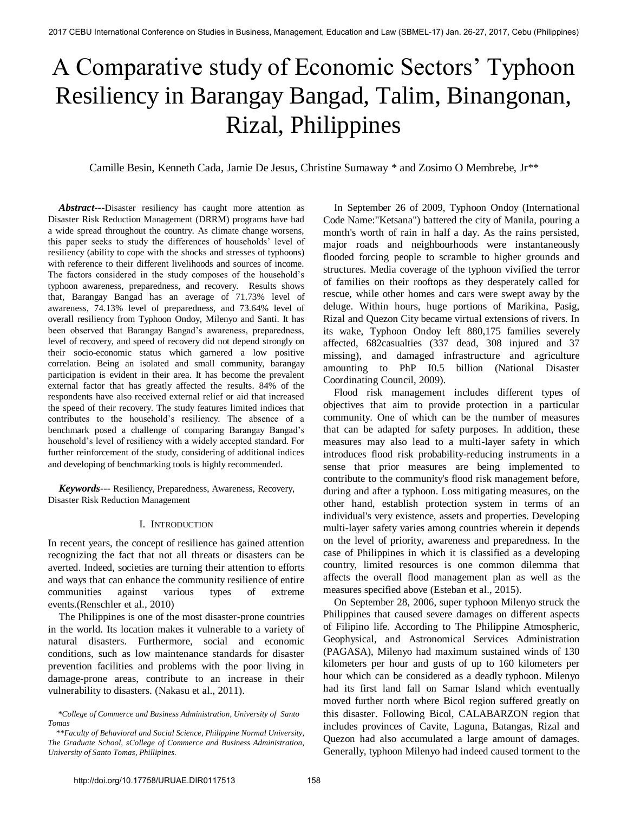# A Comparative study of Economic Sectors' Typhoon Resiliency in Barangay Bangad, Talim, Binangonan, Rizal, Philippines

Camille Besin, Kenneth Cada, Jamie De Jesus, Christine Sumaway \* and Zosimo O Membrebe, Jr\*\*

 *Abstract---*Disaster resiliency has caught more attention as Disaster Risk Reduction Management (DRRM) programs have had a wide spread throughout the country. As climate change worsens, this paper seeks to study the differences of households' level of resiliency (ability to cope with the shocks and stresses of typhoons) with reference to their different livelihoods and sources of income. The factors considered in the study composes of the household's typhoon awareness, preparedness, and recovery. Results shows that, Barangay Bangad has an average of 71.73% level of awareness, 74.13% level of preparedness, and 73.64% level of overall resiliency from Typhoon Ondoy, Milenyo and Santi. It has been observed that Barangay Bangad's awareness, preparedness, level of recovery, and speed of recovery did not depend strongly on their socio-economic status which garnered a low positive correlation. Being an isolated and small community, barangay participation is evident in their area. It has become the prevalent external factor that has greatly affected the results. 84% of the respondents have also received external relief or aid that increased the speed of their recovery. The study features limited indices that contributes to the household's resiliency. The absence of a benchmark posed a challenge of comparing Barangay Bangad's household's level of resiliency with a widely accepted standard. For further reinforcement of the study, considering of additional indices and developing of benchmarking tools is highly recommended*.* 

 *Keywords---* Resiliency, Preparedness, Awareness, Recovery, Disaster Risk Reduction Management

#### I. INTRODUCTION

In recent years, the concept of resilience has gained attention recognizing the fact that not all threats or disasters can be averted. Indeed, societies are turning their attention to efforts and ways that can enhance the community resilience of entire communities against various types of extreme events.(Renschler et al., 2010)

 The Philippines is one of the most disaster-prone countries in the world. Its location makes it vulnerable to a variety of natural disasters. Furthermore, social and economic conditions, such as low maintenance standards for disaster prevention facilities and problems with the poor living in damage-prone areas, contribute to an increase in their vulnerability to disasters. (Nakasu et al., 2011).

 In September 26 of 2009, Typhoon Ondoy (International Code Name:"Ketsana") battered the city of Manila, pouring a month's worth of rain in half a day. As the rains persisted, major roads and neighbourhoods were instantaneously flooded forcing people to scramble to higher grounds and structures. Media coverage of the typhoon vivified the terror of families on their rooftops as they desperately called for rescue, while other homes and cars were swept away by the deluge. Within hours, huge portions of Marikina, Pasig, Rizal and Quezon City became virtual extensions of rivers. In its wake, Typhoon Ondoy left 880,175 families severely affected, 682casualties (337 dead, 308 injured and 37 missing), and damaged infrastructure and agriculture amounting to PhP I0.5 billion (National Disaster Coordinating Council, 2009).

 Flood risk management includes different types of objectives that aim to provide protection in a particular community. One of which can be the number of measures that can be adapted for safety purposes. In addition, these measures may also lead to a multi-layer safety in which introduces flood risk probability-reducing instruments in a sense that prior measures are being implemented to contribute to the community's flood risk management before, during and after a typhoon. Loss mitigating measures, on the other hand, establish protection system in terms of an individual's very existence, assets and properties. Developing multi-layer safety varies among countries wherein it depends on the level of priority, awareness and preparedness. In the case of Philippines in which it is classified as a developing country, limited resources is one common dilemma that affects the overall flood management plan as well as the measures specified above (Esteban et al., 2015).

 On September 28, 2006, super typhoon Milenyo struck the Philippines that caused severe damages on different aspects of Filipino life. According to The Philippine Atmospheric, Geophysical, and Astronomical Services Administration (PAGASA), Milenyo had maximum sustained winds of 130 kilometers per hour and gusts of up to 160 kilometers per hour which can be considered as a deadly typhoon. Milenyo had its first land fall on Samar Island which eventually moved further north where Bicol region suffered greatly on this disaster. Following Bicol, CALABARZON region that includes provinces of Cavite, Laguna, Batangas, Rizal and Quezon had also accumulated a large amount of damages. Generally, typhoon Milenyo had indeed caused torment to the

 *<sup>\*</sup>College of Commerce and Business Administration, University of Santo Tomas* 

 *<sup>\*\*</sup>Faculty of Behavioral and Social Science, Philippine Normal University, The Graduate School, sCollege of Commerce and Business Administration, University of Santo Tomas, Phillipines.*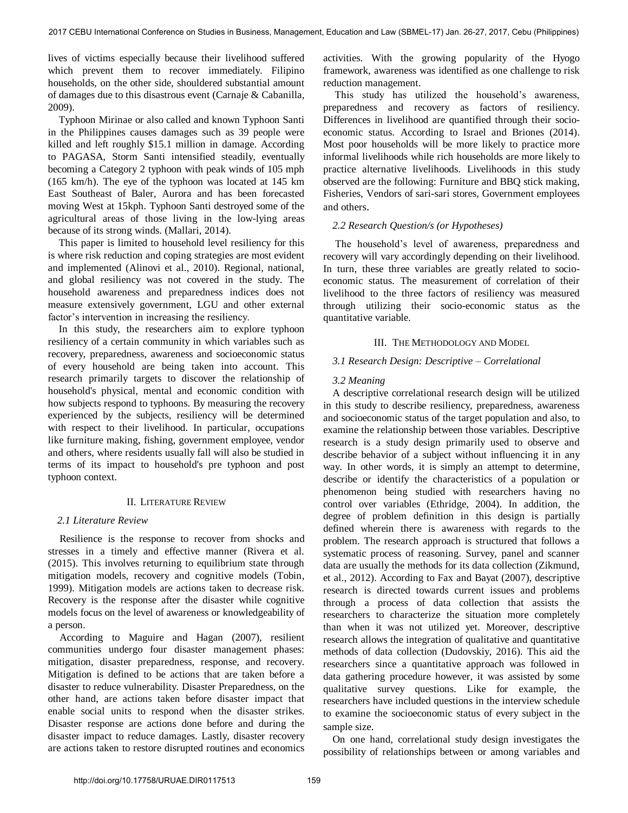lives of victims especially because their livelihood suffered which prevent them to recover immediately. Filipino households, on the other side, shouldered substantial amount of damages due to this disastrous event (Carnaje & Cabanilla, 2009).

 Typhoon Mirinae or also called and known Typhoon Santi in the Philippines causes damages such as 39 people were killed and left roughly \$15.1 million in damage. According to PAGASA, Storm Santi intensified steadily, eventually becoming a Category 2 typhoon with peak winds of 105 mph (165 km/h). The eye of the typhoon was located at 145 km East Southeast of Baler, Aurora and has been forecasted moving West at 15kph. Typhoon Santi destroyed some of the agricultural areas of those living in the low-lying areas because of its strong winds. (Mallari, 2014).

 This paper is limited to household level resiliency for this is where risk reduction and coping strategies are most evident and implemented (Alinovi et al., 2010). Regional, national, and global resiliency was not covered in the study. The household awareness and preparedness indices does not measure extensively government, LGU and other external factor's intervention in increasing the resiliency.

 In this study, the researchers aim to explore typhoon resiliency of a certain community in which variables such as recovery, preparedness, awareness and socioeconomic status of every household are being taken into account. This research primarily targets to discover the relationship of household's physical, mental and economic condition with how subjects respond to typhoons. By measuring the recovery experienced by the subjects, resiliency will be determined with respect to their livelihood. In particular, occupations like furniture making, fishing, government employee, vendor and others, where residents usually fall will also be studied in terms of its impact to household's pre typhoon and post typhoon context.

## II. LITERATURE REVIEW

#### *2.1 Literature Review*

Resilience is the response to recover from shocks and stresses in a timely and effective manner (Rivera et al. (2015). This involves returning to equilibrium state through mitigation models, recovery and cognitive models (Tobin, 1999). Mitigation models are actions taken to decrease risk. Recovery is the response after the disaster while cognitive models focus on the level of awareness or knowledgeability of a person.

According to Maguire and Hagan (2007), resilient communities undergo four disaster management phases: mitigation, disaster preparedness, response, and recovery. Mitigation is defined to be actions that are taken before a disaster to reduce vulnerability. Disaster Preparedness, on the other hand, are actions taken before disaster impact that enable social units to respond when the disaster strikes. Disaster response are actions done before and during the disaster impact to reduce damages. Lastly, disaster recovery are actions taken to restore disrupted routines and economics activities. With the growing popularity of the Hyogo framework, awareness was identified as one challenge to risk reduction management.

This study has utilized the household's awareness, preparedness and recovery as factors of resiliency. Differences in livelihood are quantified through their socioeconomic status. According to Israel and Briones (2014). Most poor households will be more likely to practice more informal livelihoods while rich households are more likely to practice alternative livelihoods. Livelihoods in this study observed are the following: Furniture and BBQ stick making, Fisheries, Vendors of sari-sari stores, Government employees and others.

#### *2.2 Research Question/s (or Hypotheses)*

 The household's level of awareness, preparedness and recovery will vary accordingly depending on their livelihood. In turn, these three variables are greatly related to socioeconomic status. The measurement of correlation of their livelihood to the three factors of resiliency was measured through utilizing their socio-economic status as the quantitative variable.

#### III. THE METHODOLOGY AND MODEL

#### *3.1 Research Design: Descriptive – Correlational*

#### *3.2 Meaning*

A descriptive correlational research design will be utilized in this study to describe resiliency, preparedness, awareness and socioeconomic status of the target population and also, to examine the relationship between those variables. Descriptive research is a study design primarily used to observe and describe behavior of a subject without influencing it in any way. In other words, it is simply an attempt to determine, describe or identify the characteristics of a population or phenomenon being studied with researchers having no control over variables (Ethridge, 2004). In addition, the degree of problem definition in this design is partially defined wherein there is awareness with regards to the problem. The research approach is structured that follows a systematic process of reasoning. Survey, panel and scanner data are usually the methods for its data collection (Zikmund, et al., 2012). According to Fax and Bayat (2007), descriptive research is directed towards current issues and problems through a process of data collection that assists the researchers to characterize the situation more completely than when it was not utilized yet. Moreover, descriptive research allows the integration of qualitative and quantitative methods of data collection (Dudovskiy, 2016). This aid the researchers since a quantitative approach was followed in data gathering procedure however, it was assisted by some qualitative survey questions. Like for example, the researchers have included questions in the interview schedule to examine the socioeconomic status of every subject in the sample size.

On one hand, correlational study design investigates the possibility of relationships between or among variables and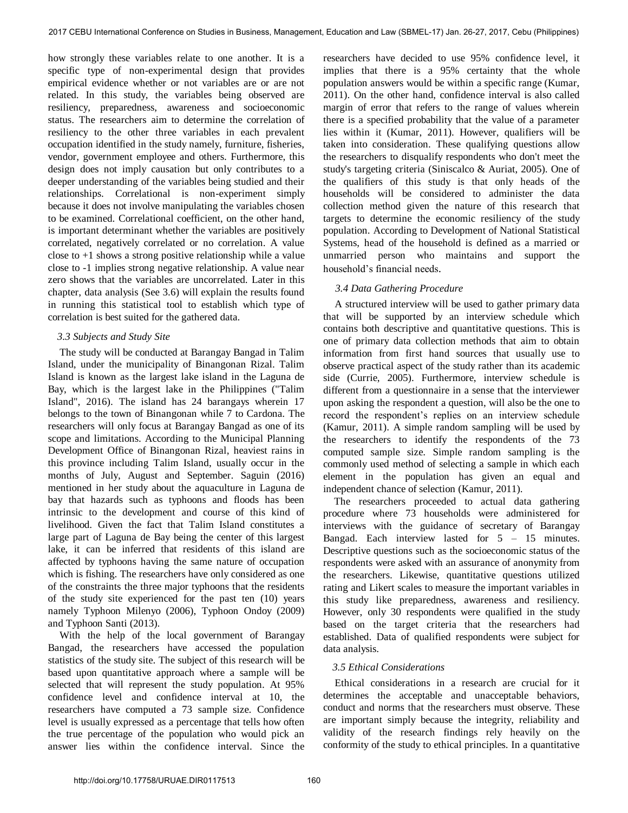how strongly these variables relate to one another. It is a specific type of non-experimental design that provides empirical evidence whether or not variables are or are not related. In this study, the variables being observed are resiliency, preparedness, awareness and socioeconomic status. The researchers aim to determine the correlation of resiliency to the other three variables in each prevalent occupation identified in the study namely, furniture, fisheries, vendor, government employee and others. Furthermore, this design does not imply causation but only contributes to a deeper understanding of the variables being studied and their relationships. Correlational is non-experiment simply because it does not involve manipulating the variables chosen to be examined. Correlational coefficient, on the other hand, is important determinant whether the variables are positively correlated, negatively correlated or no correlation. A value close to  $+1$  shows a strong positive relationship while a value close to -1 implies strong negative relationship. A value near zero shows that the variables are uncorrelated. Later in this chapter, data analysis (See 3.6) will explain the results found in running this statistical tool to establish which type of correlation is best suited for the gathered data.

## *3.3 Subjects and Study Site*

 The study will be conducted at Barangay Bangad in Talim Island, under the municipality of Binangonan Rizal. Talim Island is known as the largest lake island in the Laguna de Bay, which is the largest lake in the Philippines ("Talim Island", 2016). The island has 24 barangays wherein 17 belongs to the town of Binangonan while 7 to Cardona. The researchers will only focus at Barangay Bangad as one of its scope and limitations. According to the Municipal Planning Development Office of Binangonan Rizal, heaviest rains in this province including Talim Island, usually occur in the months of July, August and September. Saguin (2016) mentioned in her study about the aquaculture in Laguna de bay that hazards such as typhoons and floods has been intrinsic to the development and course of this kind of livelihood. Given the fact that Talim Island constitutes a large part of Laguna de Bay being the center of this largest lake, it can be inferred that residents of this island are affected by typhoons having the same nature of occupation which is fishing. The researchers have only considered as one of the constraints the three major typhoons that the residents of the study site experienced for the past ten (10) years namely Typhoon Milenyo (2006), Typhoon Ondoy (2009) and Typhoon Santi (2013).

With the help of the local government of Barangay Bangad, the researchers have accessed the population statistics of the study site. The subject of this research will be based upon quantitative approach where a sample will be selected that will represent the study population. At 95% confidence level and confidence interval at 10, the researchers have computed a 73 sample size. Confidence level is usually expressed as a percentage that tells how often the true percentage of the population who would pick an answer lies within the confidence interval. Since the

researchers have decided to use 95% confidence level, it implies that there is a 95% certainty that the whole population answers would be within a specific range (Kumar, 2011). On the other hand, confidence interval is also called margin of error that refers to the range of values wherein there is a specified probability that the value of a parameter lies within it (Kumar, 2011). However, qualifiers will be taken into consideration. These qualifying questions allow the researchers to disqualify respondents who don't meet the study's targeting criteria (Siniscalco & Auriat, 2005). One of the qualifiers of this study is that only heads of the households will be considered to administer the data collection method given the nature of this research that targets to determine the economic resiliency of the study population. According to Development of National Statistical Systems, head of the household is defined as a married or unmarried person who maintains and support the household's financial needs.

## *3.4 Data Gathering Procedure*

A structured interview will be used to gather primary data that will be supported by an interview schedule which contains both descriptive and quantitative questions. This is one of primary data collection methods that aim to obtain information from first hand sources that usually use to observe practical aspect of the study rather than its academic side (Currie, 2005). Furthermore, interview schedule is different from a questionnaire in a sense that the interviewer upon asking the respondent a question, will also be the one to record the respondent's replies on an interview schedule (Kamur, 2011). A simple random sampling will be used by the researchers to identify the respondents of the 73 computed sample size. Simple random sampling is the commonly used method of selecting a sample in which each element in the population has given an equal and independent chance of selection (Kamur, 2011).

 The researchers proceeded to actual data gathering procedure where 73 households were administered for interviews with the guidance of secretary of Barangay Bangad. Each interview lasted for 5 – 15 minutes. Descriptive questions such as the socioeconomic status of the respondents were asked with an assurance of anonymity from the researchers. Likewise, quantitative questions utilized rating and Likert scales to measure the important variables in this study like preparedness, awareness and resiliency. However, only 30 respondents were qualified in the study based on the target criteria that the researchers had established. Data of qualified respondents were subject for data analysis.

## *3.5 Ethical Considerations*

Ethical considerations in a research are crucial for it determines the acceptable and unacceptable behaviors, conduct and norms that the researchers must observe. These are important simply because the integrity, reliability and validity of the research findings rely heavily on the conformity of the study to ethical principles. In a quantitative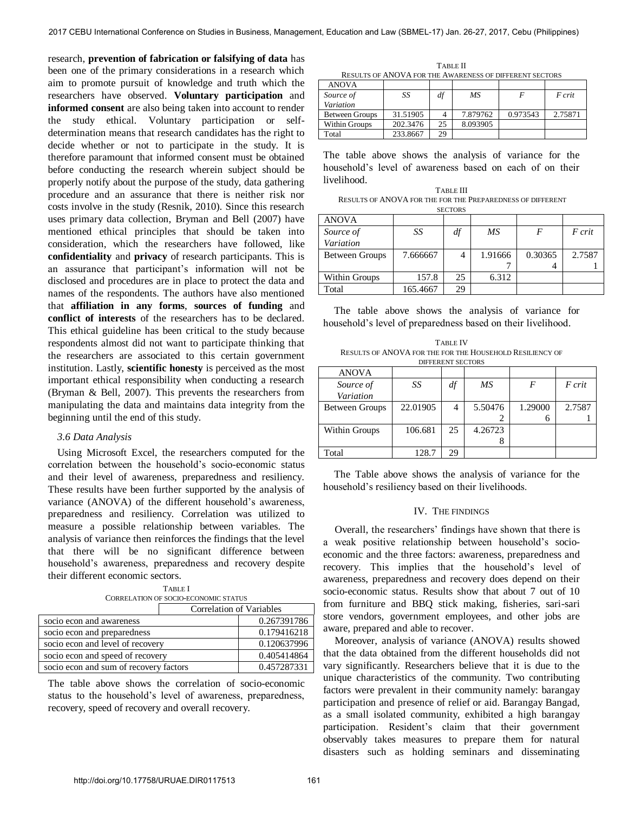research, **prevention of fabrication or falsifying of data** has been one of the primary considerations in a research which aim to promote pursuit of knowledge and truth which the researchers have observed. **Voluntary participation** and **informed consent** are also being taken into account to render the study ethical. Voluntary participation or selfdetermination means that research candidates has the right to decide whether or not to participate in the study. It is therefore paramount that informed consent must be obtained before conducting the research wherein subject should be properly notify about the purpose of the study, data gathering procedure and an assurance that there is neither risk nor costs involve in the study (Resnik, 2010). Since this research uses primary data collection, Bryman and Bell (2007) have mentioned ethical principles that should be taken into consideration, which the researchers have followed, like **confidentiality** and **privacy** of research participants. This is an assurance that participant's information will not be disclosed and procedures are in place to protect the data and names of the respondents. The authors have also mentioned that **affiliation in any forms**, **sources of funding** and **conflict of interests** of the researchers has to be declared. This ethical guideline has been critical to the study because respondents almost did not want to participate thinking that the researchers are associated to this certain government institution. Lastly, **scientific honesty** is perceived as the most important ethical responsibility when conducting a research (Bryman & Bell, 2007). This prevents the researchers from manipulating the data and maintains data integrity from the beginning until the end of this study.

#### *3.6 Data Analysis*

Using Microsoft Excel, the researchers computed for the correlation between the household's socio-economic status and their level of awareness, preparedness and resiliency. These results have been further supported by the analysis of variance (ANOVA) of the different household's awareness, preparedness and resiliency. Correlation was utilized to measure a possible relationship between variables. The analysis of variance then reinforces the findings that the level that there will be no significant difference between household's awareness, preparedness and recovery despite their different economic sectors.

| <b>CORRELATION OF SOCIO-ECONOMIC STATUS</b> |                          |             |  |  |  |
|---------------------------------------------|--------------------------|-------------|--|--|--|
|                                             | Correlation of Variables |             |  |  |  |
| socio econ and awareness                    |                          | 0.267391786 |  |  |  |
| socio econ and preparedness                 |                          | 0.179416218 |  |  |  |
| socio econ and level of recovery            |                          | 0.120637996 |  |  |  |
| socio econ and speed of recovery            |                          | 0.405414864 |  |  |  |
| socio econ and sum of recovery factors      |                          | 0.457287331 |  |  |  |

TABLE I

The table above shows the correlation of socio-economic status to the household's level of awareness, preparedness, recovery, speed of recovery and overall recovery.

TABLE II RESULTS OF ANOVA FOR THE AWARENESS OF DIFFERENT SECTORS

| <b>ANOVA</b>          |          |    |          |          |         |
|-----------------------|----------|----|----------|----------|---------|
| Source of             | SS       | df | ΜS       |          | F crit  |
| Variation             |          |    |          |          |         |
| <b>Between Groups</b> | 31.51905 |    | 7.879762 | 0.973543 | 2.75871 |
| Within Groups         | 202.3476 | 25 | 8.093905 |          |         |
| Total                 | 233.8667 | 29 |          |          |         |

The table above shows the analysis of variance for the household's level of awareness based on each of on their livelihood.

TABLE III RESULTS OF ANOVA FOR THE FOR THE PREPAREDNESS OF DIFFERENT **SECTORS** 

| <b>ANOVA</b>          |          |    |         |         |        |
|-----------------------|----------|----|---------|---------|--------|
| Source of             | SS       | df | МS      | F       | F crit |
| Variation             |          |    |         |         |        |
| <b>Between Groups</b> | 7.666667 | 4  | 1.91666 | 0.30365 | 2.7587 |
|                       |          |    |         |         |        |
| Within Groups         | 157.8    | 25 | 6.312   |         |        |
| Total                 | 165.4667 | 29 |         |         |        |

 The table above shows the analysis of variance for household's level of preparedness based on their livelihood.

TABLE IV RESULTS OF ANOVA FOR THE FOR THE HOUSEHOLD RESILIENCY OF DIFFERENT SECTORS

| <b>ANOVA</b>          |          |    |         |         |        |
|-----------------------|----------|----|---------|---------|--------|
| Source of             | SS       | df | МS      | F       | F crit |
| Variation             |          |    |         |         |        |
| <b>Between Groups</b> | 22.01905 | 4  | 5.50476 | 1.29000 | 2.7587 |
|                       |          |    |         | 6       |        |
| Within Groups         | 106.681  | 25 | 4.26723 |         |        |
|                       |          |    |         |         |        |
| Total                 | 128.7    | 29 |         |         |        |

 The Table above shows the analysis of variance for the household's resiliency based on their livelihoods.

#### IV. THE FINDINGS

Overall, the researchers' findings have shown that there is a weak positive relationship between household's socioeconomic and the three factors: awareness, preparedness and recovery. This implies that the household's level of awareness, preparedness and recovery does depend on their socio-economic status. Results show that about 7 out of 10 from furniture and BBQ stick making, fisheries, sari-sari store vendors, government employees, and other jobs are aware, prepared and able to recover.

Moreover, analysis of variance (ANOVA) results showed that the data obtained from the different households did not vary significantly. Researchers believe that it is due to the unique characteristics of the community. Two contributing factors were prevalent in their community namely: barangay participation and presence of relief or aid. Barangay Bangad, as a small isolated community, exhibited a high barangay participation. Resident's claim that their government observably takes measures to prepare them for natural disasters such as holding seminars and disseminating